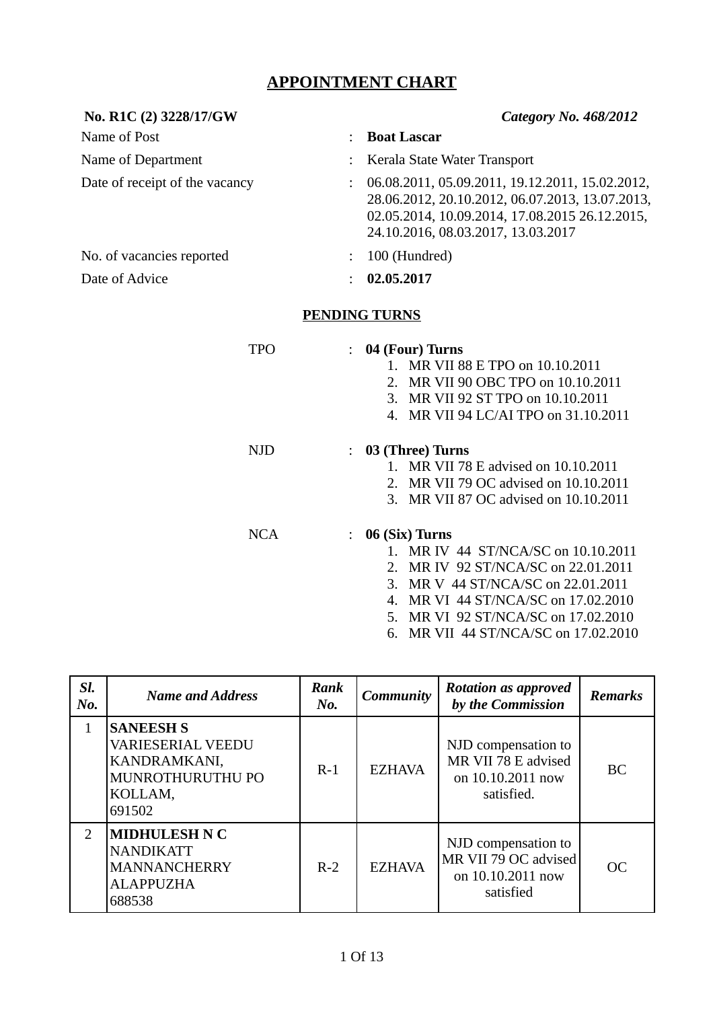## **APPOINTMENT CHART**

| No. R1C (2) 3228/17/GW         | <b>Category No. 468/2012</b>                                                                                                                                                               |
|--------------------------------|--------------------------------------------------------------------------------------------------------------------------------------------------------------------------------------------|
| Name of Post<br>÷              | <b>Boat Lascar</b>                                                                                                                                                                         |
| Name of Department             | Kerala State Water Transport                                                                                                                                                               |
| Date of receipt of the vacancy | 06.08.2011, 05.09.2011, 19.12.2011, 15.02.2012,<br>28.06.2012, 20.10.2012, 06.07.2013, 13.07.2013,<br>02.05.2014, 10.09.2014, 17.08.2015 26.12.2015,<br>24.10.2016, 08.03.2017, 13.03.2017 |
| No. of vacancies reported      | 100 (Hundred)                                                                                                                                                                              |
| Date of Advice                 | 02.05.2017                                                                                                                                                                                 |
| <b>PENDING TURNS</b>           |                                                                                                                                                                                            |
| <b>TPO</b>                     | $: 04$ (Four) Turns<br>1. MR VII 88 E TPO on 10.10.2011<br>2. MR VII 90 OBC TPO on 10.10.2011<br>3. MR VII 92 ST TPO on 10.10.2011<br>4. MR VII 94 LC/AI TPO on 31.10.2011                 |
| <b>NJD</b>                     | $: 03$ (Three) Turns<br>1. MR VII 78 E advised on 10.10.2011<br>2. MR VII 79 OC advised on 10.10.2011<br>3. MR VII 87 OC advised on 10.10.2011                                             |

NCA : **06 (Six) Turns**

- 1. MR IV 44 ST/NCA/SC on 10.10.2011
- 2. MR IV 92 ST/NCA/SC on 22.01.2011
- 3. MR V 44 ST/NCA/SC on 22.01.2011
- 4. MR VI 44 ST/NCA/SC on 17.02.2010
- 5. MR VI 92 ST/NCA/SC on 17.02.2010
- 6. MR VII 44 ST/NCA/SC on 17.02.2010

| SI.<br>No.    | <b>Name and Address</b>                                                                               | Rank<br>No. | <b>Community</b> | <b>Rotation as approved</b><br>by the Commission                              | <b>Remarks</b> |
|---------------|-------------------------------------------------------------------------------------------------------|-------------|------------------|-------------------------------------------------------------------------------|----------------|
| 1             | <b>SANEESH S</b><br><b>VARIESERIAL VEEDU</b><br>KANDRAMKANI,<br>MUNROTHURUTHU PO<br>KOLLAM,<br>691502 | $R-1$       | <b>EZHAVA</b>    | NJD compensation to<br>MR VII 78 E advised<br>on 10.10.2011 now<br>satisfied. | <b>BC</b>      |
| $\mathcal{P}$ | <b>MIDHULESH N C</b><br><b>NANDIKATT</b><br><b>MANNANCHERRY</b><br><b>ALAPPUZHA</b><br>688538         | $R-2$       | <b>EZHAVA</b>    | NJD compensation to<br>MR VII 79 OC advised<br>on 10.10.2011 now<br>satisfied | <b>OC</b>      |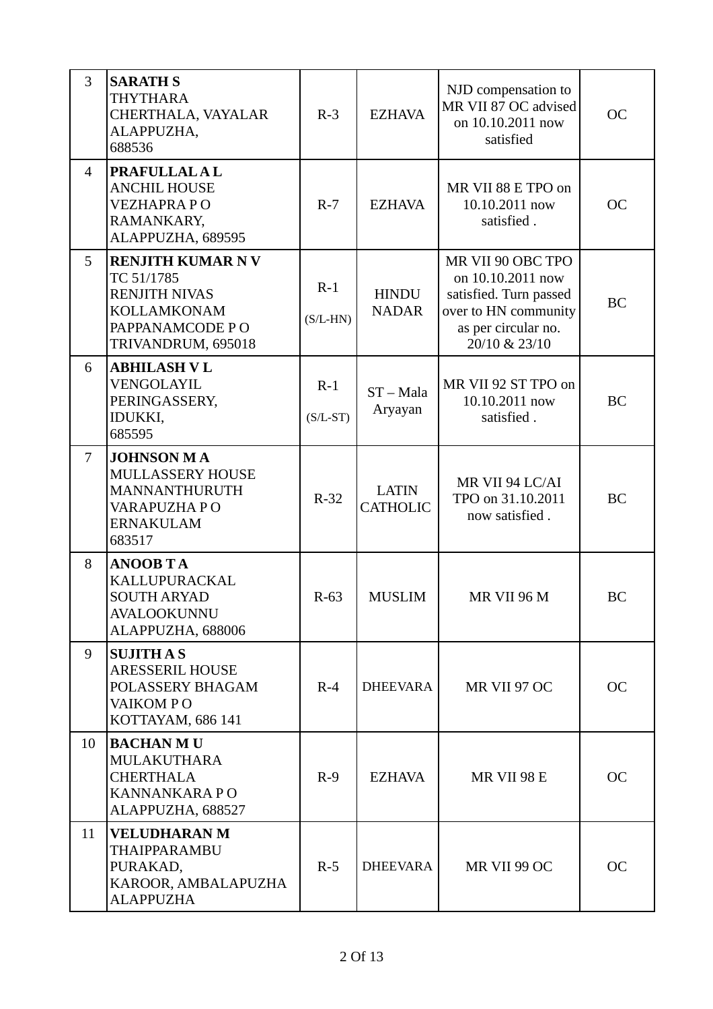| $\overline{3}$ | <b>SARATH S</b><br><b>THYTHARA</b><br>CHERTHALA, VAYALAR<br>ALAPPUZHA,<br>688536                                             | $R-3$               | <b>EZHAVA</b>                   | NJD compensation to<br>MR VII 87 OC advised<br>on 10.10.2011 now<br>satisfied                                                    | <b>OC</b> |
|----------------|------------------------------------------------------------------------------------------------------------------------------|---------------------|---------------------------------|----------------------------------------------------------------------------------------------------------------------------------|-----------|
| $\overline{4}$ | <b>PRAFULLALAL</b><br><b>ANCHIL HOUSE</b><br><b>VEZHAPRAPO</b><br>RAMANKARY,<br>ALAPPUZHA, 689595                            | $R-7$               | <b>EZHAVA</b>                   | MR VII 88 E TPO on<br>10.10.2011 now<br>satisfied.                                                                               | <b>OC</b> |
| 5              | <b>RENJITH KUMAR NV</b><br>TC 51/1785<br><b>RENJITH NIVAS</b><br><b>KOLLAMKONAM</b><br>PAPPANAMCODE PO<br>TRIVANDRUM, 695018 | $R-1$<br>$(S/L-HN)$ | <b>HINDU</b><br><b>NADAR</b>    | MR VII 90 OBC TPO<br>on 10.10.2011 now<br>satisfied. Turn passed<br>over to HN community<br>as per circular no.<br>20/10 & 23/10 | <b>BC</b> |
| 6              | <b>ABHILASH V L</b><br>VENGOLAYIL<br>PERINGASSERY,<br>IDUKKI,<br>685595                                                      | $R-1$<br>$(S/L-ST)$ | $ST - Mala$<br>Aryayan          | MR VII 92 ST TPO on<br>10.10.2011 now<br>satisfied.                                                                              | <b>BC</b> |
| $\overline{7}$ | <b>JOHNSON MA</b><br>MULLASSERY HOUSE<br>MANNANTHURUTH<br>VARAPUZHA PO<br><b>ERNAKULAM</b><br>683517                         | $R-32$              | <b>LATIN</b><br><b>CATHOLIC</b> | MR VII 94 LC/AI<br>TPO on 31.10.2011<br>now satisfied.                                                                           | <b>BC</b> |
| 8              | <b>ANOOB TA</b><br>KALLUPURACKAL<br><b>SOUTH ARYAD</b><br><b>AVALOOKUNNU</b><br>ALAPPUZHA, 688006                            | $R-63$              | <b>MUSLIM</b>                   | MR VII 96 M                                                                                                                      | <b>BC</b> |
| 9              | <b>SUJITH A S</b><br><b>ARESSERIL HOUSE</b><br>POLASSERY BHAGAM<br>VAIKOM PO<br>KOTTAYAM, 686 141                            | $R-4$               | <b>DHEEVARA</b>                 | MR VII 97 OC                                                                                                                     | <b>OC</b> |
| 10             | <b>BACHAN MU</b><br><b>MULAKUTHARA</b><br><b>CHERTHALA</b><br><b>KANNANKARAPO</b><br>ALAPPUZHA, 688527                       | $R-9$               | <b>EZHAVA</b>                   | MR VII 98 E                                                                                                                      | <b>OC</b> |
| 11             | <b>VELUDHARAN M</b><br>THAIPPARAMBU<br>PURAKAD,<br>KAROOR, AMBALAPUZHA<br><b>ALAPPUZHA</b>                                   | $R-5$               | <b>DHEEVARA</b>                 | MR VII 99 OC                                                                                                                     | <b>OC</b> |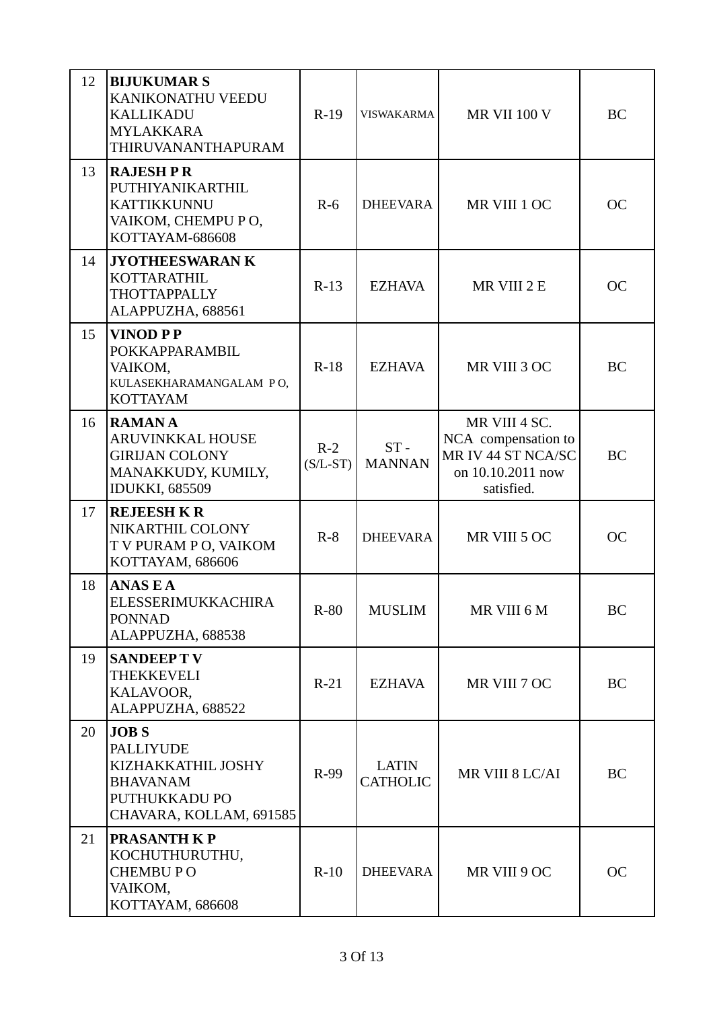| 12 | <b>BIJUKUMAR S</b><br>KANIKONATHU VEEDU<br><b>KALLIKADU</b><br><b>MYLAKKARA</b><br>THIRUVANANTHAPURAM                | $R-19$              | <b>VISWAKARMA</b>               | <b>MR VII 100 V</b>                                                                           | BC        |
|----|----------------------------------------------------------------------------------------------------------------------|---------------------|---------------------------------|-----------------------------------------------------------------------------------------------|-----------|
| 13 | <b>RAJESH P R</b><br>PUTHIYANIKARTHIL<br><b>KATTIKKUNNU</b><br>VAIKOM, CHEMPU PO,<br>KOTTAYAM-686608                 | $R-6$               | <b>DHEEVARA</b>                 | MR VIII 1 OC                                                                                  | <b>OC</b> |
| 14 | <b>JYOTHEESWARAN K</b><br><b>KOTTARATHIL</b><br><b>THOTTAPPALLY</b><br>ALAPPUZHA, 688561                             | $R-13$              | <b>EZHAVA</b>                   | MR VIII 2 E                                                                                   | <b>OC</b> |
| 15 | <b>VINOD PP</b><br>POKKAPPARAMBIL<br>VAIKOM,<br>KULASEKHARAMANGALAM PO,<br><b>KOTTAYAM</b>                           | $R-18$              | <b>EZHAVA</b>                   | MR VIII 3 OC                                                                                  | <b>BC</b> |
| 16 | <b>RAMANA</b><br><b>ARUVINKKAL HOUSE</b><br><b>GIRIJAN COLONY</b><br>MANAKKUDY, KUMILY,<br><b>IDUKKI, 685509</b>     | $R-2$<br>$(S/L-ST)$ | $ST -$<br><b>MANNAN</b>         | MR VIII 4 SC.<br>NCA compensation to<br>MR IV 44 ST NCA/SC<br>on 10.10.2011 now<br>satisfied. | <b>BC</b> |
| 17 | <b>REJEESH K R</b><br>NIKARTHIL COLONY<br>T V PURAM P O, VAIKOM<br>KOTTAYAM, 686606                                  | $R-8$               | <b>DHEEVARA</b>                 | MR VIII 5 OC                                                                                  | <b>OC</b> |
| 18 | <b>ANASEA</b><br><b>ELESSERIMUKKACHIRA</b><br><b>PONNAD</b><br>ALAPPUZHA, 688538                                     | $R-80$              | <b>MUSLIM</b>                   | MR VIII 6 M                                                                                   | BC        |
| 19 | <b>SANDEEPTV</b><br><b>THEKKEVELI</b><br>KALAVOOR.<br>ALAPPUZHA, 688522                                              | $R-21$              | <b>EZHAVA</b>                   | MR VIII 7 OC                                                                                  | BC        |
| 20 | <b>JOBS</b><br><b>PALLIYUDE</b><br>KIZHAKKATHIL JOSHY<br><b>BHAVANAM</b><br>PUTHUKKADU PO<br>CHAVARA, KOLLAM, 691585 | R-99                | <b>LATIN</b><br><b>CATHOLIC</b> | MR VIII 8 LC/AI                                                                               | BC        |
| 21 | <b>PRASANTH KP</b><br>KOCHUTHURUTHU,<br><b>CHEMBUPO</b><br>VAIKOM,<br>KOTTAYAM, 686608                               | $R-10$              | <b>DHEEVARA</b>                 | MR VIII 9 OC                                                                                  | <b>OC</b> |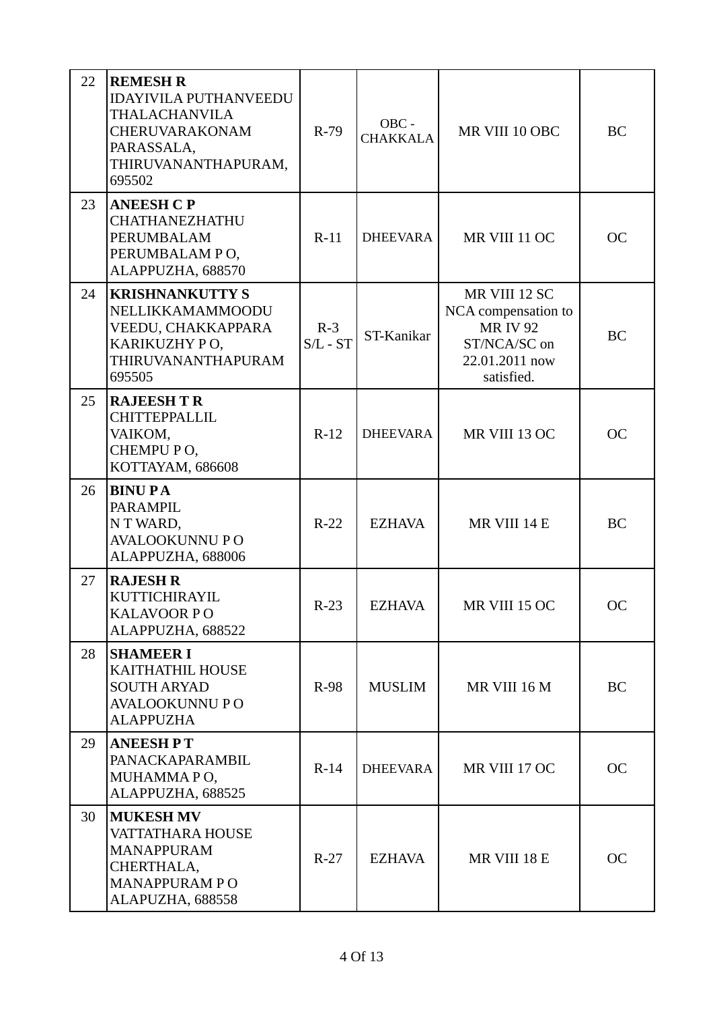| 22 | <b>REMESH R</b><br><b>IDAYIVILA PUTHANVEEDU</b><br><b>THALACHANVILA</b><br><b>CHERUVARAKONAM</b><br>PARASSALA,<br>THIRUVANANTHAPURAM,<br>695502 | $R-79$                | OBC -<br><b>CHAKKALA</b> | MR VIII 10 OBC                                                                                        | BC        |
|----|-------------------------------------------------------------------------------------------------------------------------------------------------|-----------------------|--------------------------|-------------------------------------------------------------------------------------------------------|-----------|
| 23 | <b>ANEESH C P</b><br><b>CHATHANEZHATHU</b><br>PERUMBALAM<br>PERUMBALAM PO,<br>ALAPPUZHA, 688570                                                 | $R-11$                | <b>DHEEVARA</b>          | MR VIII 11 OC                                                                                         | <b>OC</b> |
| 24 | <b>KRISHNANKUTTY S</b><br>NELLIKKAMAMMOODU<br>VEEDU, CHAKKAPPARA<br>KARIKUZHY PO,<br>THIRUVANANTHAPURAM<br>695505                               | $R-3$<br>$S/L$ - $ST$ | ST-Kanikar               | MR VIII 12 SC<br>NCA compensation to<br><b>MRIV92</b><br>ST/NCA/SC on<br>22.01.2011 now<br>satisfied. | <b>BC</b> |
| 25 | <b>RAJEESH T R</b><br><b>CHITTEPPALLIL</b><br>VAIKOM,<br>CHEMPU PO,<br>KOTTAYAM, 686608                                                         | $R-12$                | <b>DHEEVARA</b>          | MR VIII 13 OC                                                                                         | <b>OC</b> |
| 26 | <b>BINUPA</b><br><b>PARAMPIL</b><br>N T WARD,<br><b>AVALOOKUNNU PO</b><br>ALAPPUZHA, 688006                                                     | $R-22$                | <b>EZHAVA</b>            | MR VIII 14 E                                                                                          | <b>BC</b> |
| 27 | <b>RAJESH R</b><br>KUTTICHIRAYIL<br><b>KALAVOOR PO</b><br>ALAPPUZHA, 688522                                                                     | $R-23$                | <b>EZHAVA</b>            | MR VIII 15 OC                                                                                         | <b>OC</b> |
| 28 | <b>SHAMEER I</b><br>KAITHATHIL HOUSE<br><b>SOUTH ARYAD</b><br><b>AVALOOKUNNU PO</b><br><b>ALAPPUZHA</b>                                         | $R-98$                | <b>MUSLIM</b>            | MR VIII 16 M                                                                                          | BC        |
| 29 | <b>ANEESHPT</b><br>PANACKAPARAMBIL<br>MUHAMMAPO,<br>ALAPPUZHA, 688525                                                                           | $R-14$                | <b>DHEEVARA</b>          | MR VIII 17 OC                                                                                         | <b>OC</b> |
| 30 | <b>MUKESH MV</b><br>VATTATHARA HOUSE<br><b>MANAPPURAM</b><br>CHERTHALA,<br><b>MANAPPURAM PO</b><br>ALAPUZHA, 688558                             | $R-27$                | <b>EZHAVA</b>            | MR VIII 18 E                                                                                          | <b>OC</b> |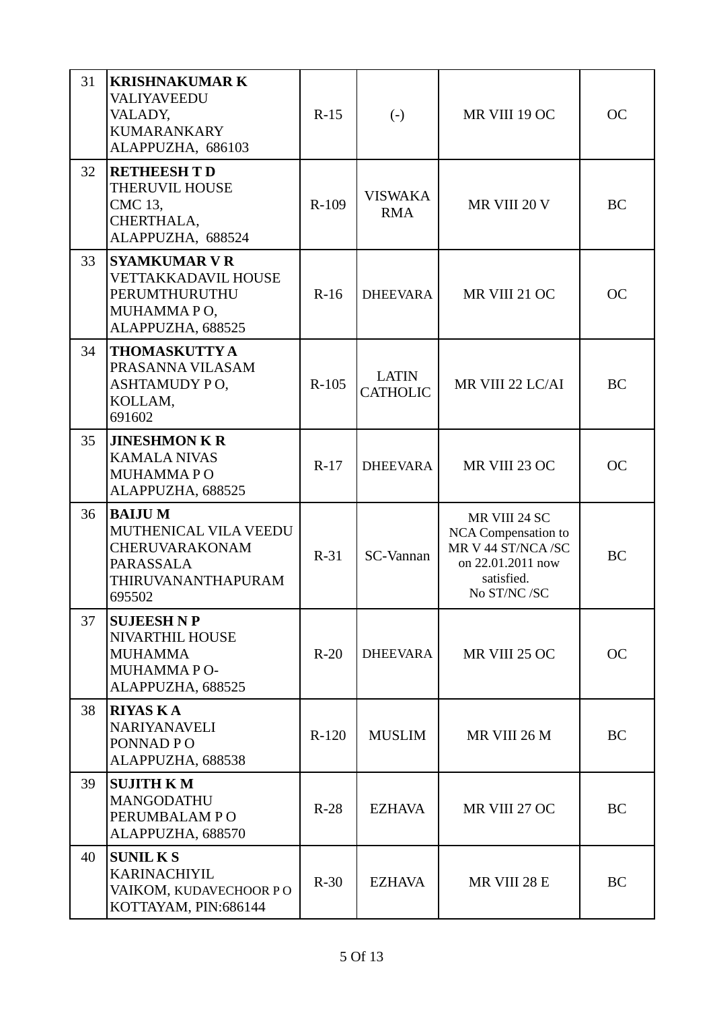| 31 | <b>KRISHNAKUMAR K</b><br>VALIYAVEEDU<br>VALADY,<br><b>KUMARANKARY</b><br>ALAPPUZHA, 686103                   | $R-15$  | $\left( -\right)$               | MR VIII 19 OC                                                                                                      | <b>OC</b> |
|----|--------------------------------------------------------------------------------------------------------------|---------|---------------------------------|--------------------------------------------------------------------------------------------------------------------|-----------|
| 32 | <b>RETHEESH T D</b><br><b>THERUVIL HOUSE</b><br>CMC 13,<br>CHERTHALA,<br>ALAPPUZHA, 688524                   | $R-109$ | <b>VISWAKA</b><br><b>RMA</b>    | MR VIII 20 V                                                                                                       | BC        |
| 33 | <b>SYAMKUMAR V R</b><br><b>VETTAKKADAVIL HOUSE</b><br>PERUMTHURUTHU<br>MUHAMMAPO,<br>ALAPPUZHA, 688525       | $R-16$  | <b>DHEEVARA</b>                 | MR VIII 21 OC                                                                                                      | <b>OC</b> |
| 34 | <b>THOMASKUTTY A</b><br>PRASANNA VILASAM<br>ASHTAMUDY PO,<br>KOLLAM,<br>691602                               | $R-105$ | <b>LATIN</b><br><b>CATHOLIC</b> | MR VIII 22 LC/AI                                                                                                   | <b>BC</b> |
| 35 | <b>JINESHMON K R</b><br><b>KAMALA NIVAS</b><br>MUHAMMAPO<br>ALAPPUZHA, 688525                                | $R-17$  | <b>DHEEVARA</b>                 | MR VIII 23 OC                                                                                                      | <b>OC</b> |
| 36 | <b>BAIJUM</b><br>MUTHENICAL VILA VEEDU<br><b>CHERUVARAKONAM</b><br>PARASSALA<br>THIRUVANANTHAPURAM<br>695502 | $R-31$  | <b>SC-Vannan</b>                | MR VIII 24 SC<br><b>NCA Compensation to</b><br>MR V 44 ST/NCA/SC<br>on 22.01.2011 now<br>satisfied.<br>No ST/NC/SC | <b>BC</b> |
| 37 | <b>SUJEESH N P</b><br><b>NIVARTHIL HOUSE</b><br><b>MUHAMMA</b><br>MUHAMMAPO-<br>ALAPPUZHA, 688525            | $R-20$  | <b>DHEEVARA</b>                 | MR VIII 25 OC                                                                                                      | <b>OC</b> |
| 38 | <b>RIYAS KA</b><br><b>NARIYANAVELI</b><br>PONNAD PO<br>ALAPPUZHA, 688538                                     | $R-120$ | <b>MUSLIM</b>                   | MR VIII 26 M                                                                                                       | <b>BC</b> |
| 39 | <b>SUJITH KM</b><br>MANGODATHU<br>PERUMBALAM PO<br>ALAPPUZHA, 688570                                         | $R-28$  | <b>EZHAVA</b>                   | MR VIII 27 OC                                                                                                      | <b>BC</b> |
| 40 | <b>SUNIL KS</b><br><b>KARINACHIYIL</b><br>VAIKOM, KUDAVECHOOR PO<br>KOTTAYAM, PIN:686144                     | $R-30$  | <b>EZHAVA</b>                   | MR VIII 28 E                                                                                                       | <b>BC</b> |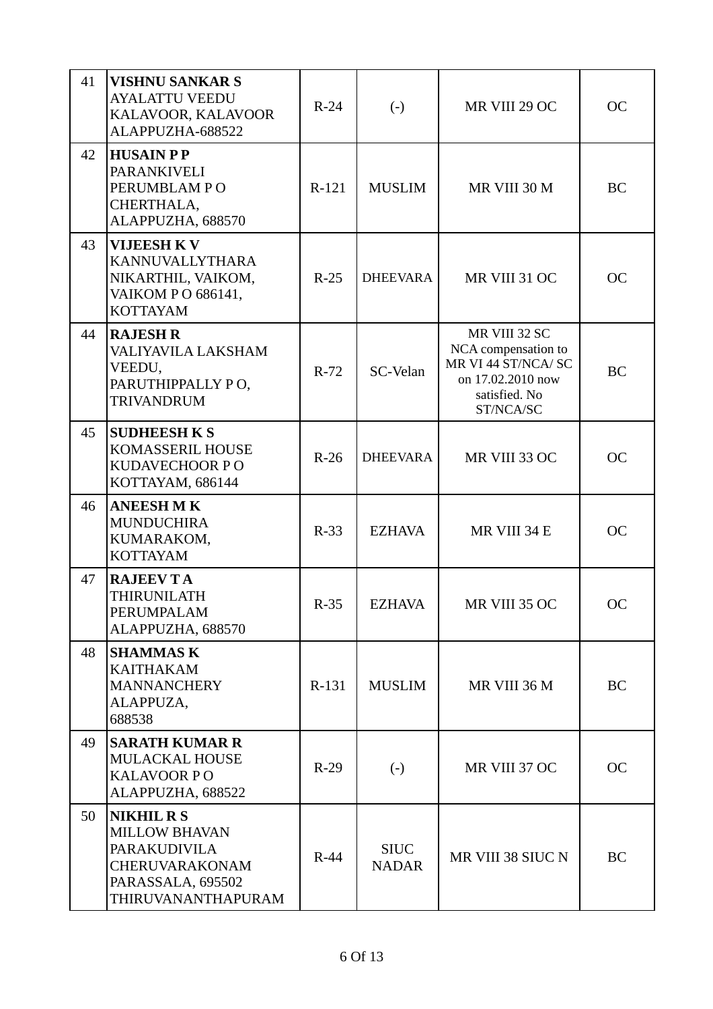| 41 | <b>VISHNU SANKAR S</b><br><b>AYALATTU VEEDU</b><br>KALAVOOR, KALAVOOR<br>ALAPPUZHA-688522                                            | $R-24$  | $(-)$                       | MR VIII 29 OC                                                                                                  | <b>OC</b> |
|----|--------------------------------------------------------------------------------------------------------------------------------------|---------|-----------------------------|----------------------------------------------------------------------------------------------------------------|-----------|
| 42 | <b>HUSAIN PP</b><br><b>PARANKIVELI</b><br>PERUMBLAM PO<br>CHERTHALA,<br>ALAPPUZHA, 688570                                            | $R-121$ | <b>MUSLIM</b>               | MR VIII 30 M                                                                                                   | <b>BC</b> |
| 43 | <b>VIJEESH KV</b><br><b>KANNUVALLYTHARA</b><br>NIKARTHIL, VAIKOM,<br>VAIKOM PO 686141,<br><b>KOTTAYAM</b>                            | $R-25$  | <b>DHEEVARA</b>             | MR VIII 31 OC                                                                                                  | <b>OC</b> |
| 44 | <b>RAJESH R</b><br>VALIYAVILA LAKSHAM<br>VEEDU,<br>PARUTHIPPALLY PO,<br><b>TRIVANDRUM</b>                                            | $R-72$  | SC-Velan                    | MR VIII 32 SC<br>NCA compensation to<br>MR VI 44 ST/NCA/ SC<br>on 17.02.2010 now<br>satisfied. No<br>ST/NCA/SC | <b>BC</b> |
| 45 | <b>SUDHEESH K S</b><br><b>KOMASSERIL HOUSE</b><br><b>KUDAVECHOOR PO</b><br>KOTTAYAM, 686144                                          | $R-26$  | <b>DHEEVARA</b>             | MR VIII 33 OC                                                                                                  | <b>OC</b> |
| 46 | <b>ANEESH MK</b><br><b>MUNDUCHIRA</b><br>KUMARAKOM,<br><b>KOTTAYAM</b>                                                               | $R-33$  | <b>EZHAVA</b>               | MR VIII 34 E                                                                                                   | <b>OC</b> |
| 47 | <b>RAJEEVTA</b><br>THIRUNILATH<br>PERUMPALAM<br>ALAPPUZHA, 688570                                                                    | $R-35$  | <b>EZHAVA</b>               | MR VIII 35 OC                                                                                                  | <b>OC</b> |
| 48 | <b>SHAMMAS K</b><br><b>KAITHAKAM</b><br><b>MANNANCHERY</b><br>ALAPPUZA,<br>688538                                                    | R-131   | <b>MUSLIM</b>               | MR VIII 36 M                                                                                                   | BC        |
| 49 | <b>SARATH KUMAR R</b><br><b>MULACKAL HOUSE</b><br><b>KALAVOOR PO</b><br>ALAPPUZHA, 688522                                            | $R-29$  | $\left( \cdot \right)$      | MR VIII 37 OC                                                                                                  | <b>OC</b> |
| 50 | <b>NIKHIL R S</b><br><b>MILLOW BHAVAN</b><br><b>PARAKUDIVILA</b><br><b>CHERUVARAKONAM</b><br>PARASSALA, 695502<br>THIRUVANANTHAPURAM | $R-44$  | <b>SIUC</b><br><b>NADAR</b> | MR VIII 38 SIUC N                                                                                              | <b>BC</b> |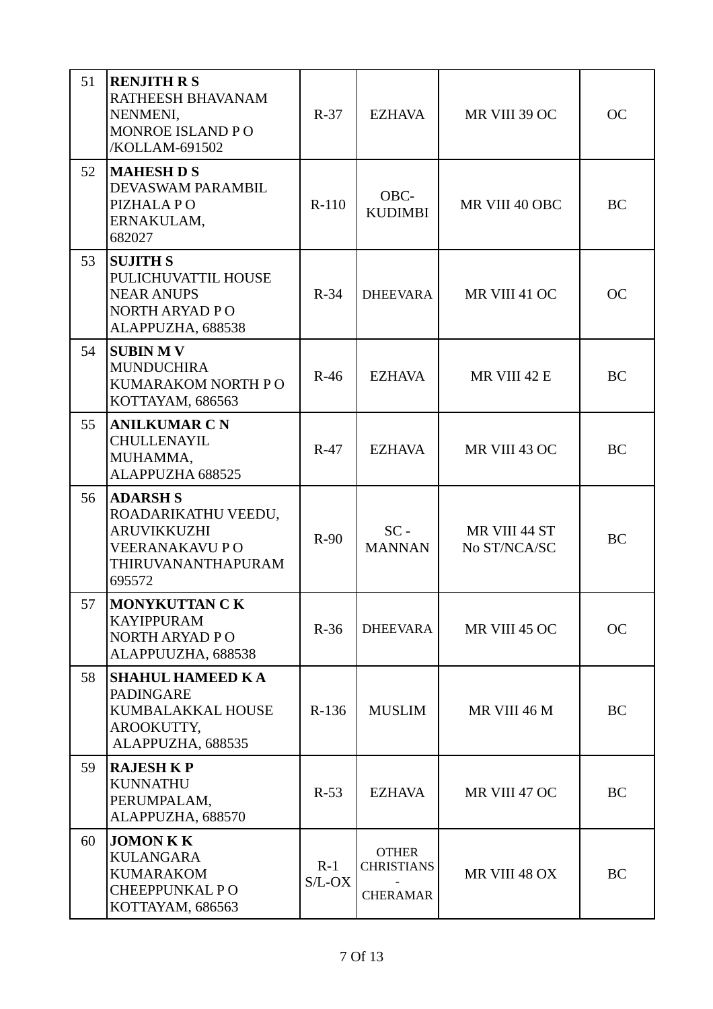| 51 | <b>RENJITH R S</b><br>RATHEESH BHAVANAM<br>NENMENI,<br>MONROE ISLAND PO<br>/KOLLAM-691502                             | $R-37$            | <b>EZHAVA</b>                                        | MR VIII 39 OC                 | <b>OC</b> |
|----|-----------------------------------------------------------------------------------------------------------------------|-------------------|------------------------------------------------------|-------------------------------|-----------|
| 52 | <b>MAHESH D S</b><br>DEVASWAM PARAMBIL<br>PIZHALA PO<br>ERNAKULAM,<br>682027                                          | $R-110$           | OBC-<br><b>KUDIMBI</b>                               | MR VIII 40 OBC                | BC        |
| 53 | <b>SUJITH S</b><br>PULICHUVATTIL HOUSE<br><b>NEAR ANUPS</b><br>NORTH ARYAD PO<br>ALAPPUZHA, 688538                    | $R-34$            | <b>DHEEVARA</b>                                      | MR VIII 41 OC                 | <b>OC</b> |
| 54 | <b>SUBIN MV</b><br><b>MUNDUCHIRA</b><br>KUMARAKOM NORTH PO<br>KOTTAYAM, 686563                                        | $R-46$            | <b>EZHAVA</b>                                        | MR VIII 42 E                  | <b>BC</b> |
| 55 | <b>ANILKUMAR C N</b><br><b>CHULLENAYIL</b><br>MUHAMMA,<br>ALAPPUZHA 688525                                            | $R-47$            | <b>EZHAVA</b>                                        | MR VIII 43 OC                 | <b>BC</b> |
| 56 | <b>ADARSH S</b><br>ROADARIKATHU VEEDU,<br><b>ARUVIKKUZHI</b><br><b>VEERANAKAVU PO</b><br>THIRUVANANTHAPURAM<br>695572 | $R-90$            | $SC -$<br><b>MANNAN</b>                              | MR VIII 44 ST<br>No ST/NCA/SC | <b>BC</b> |
| 57 | <b>MONYKUTTAN CK</b><br><b>KAYIPPURAM</b><br>NORTH ARYAD PO<br>ALAPPUUZHA, 688538                                     | $R-36$            | <b>DHEEVARA</b>                                      | MR VIII 45 OC                 | <b>OC</b> |
| 58 | <b>SHAHUL HAMEED KA</b><br><b>PADINGARE</b><br>KUMBALAKKAL HOUSE<br>AROOKUTTY,<br>ALAPPUZHA, 688535                   | $R-136$           | <b>MUSLIM</b>                                        | MR VIII 46 M                  | BC        |
| 59 | <b>RAJESH K P</b><br><b>KUNNATHU</b><br>PERUMPALAM,<br>ALAPPUZHA, 688570                                              | $R-53$            | <b>EZHAVA</b>                                        | MR VIII 47 OC                 | <b>BC</b> |
| 60 | <b>JOMON K K</b><br><b>KULANGARA</b><br><b>KUMARAKOM</b><br><b>CHEEPPUNKAL PO</b><br>KOTTAYAM, 686563                 | $R-1$<br>$S/L-OX$ | <b>OTHER</b><br><b>CHRISTIANS</b><br><b>CHERAMAR</b> | MR VIII 48 OX                 | BC        |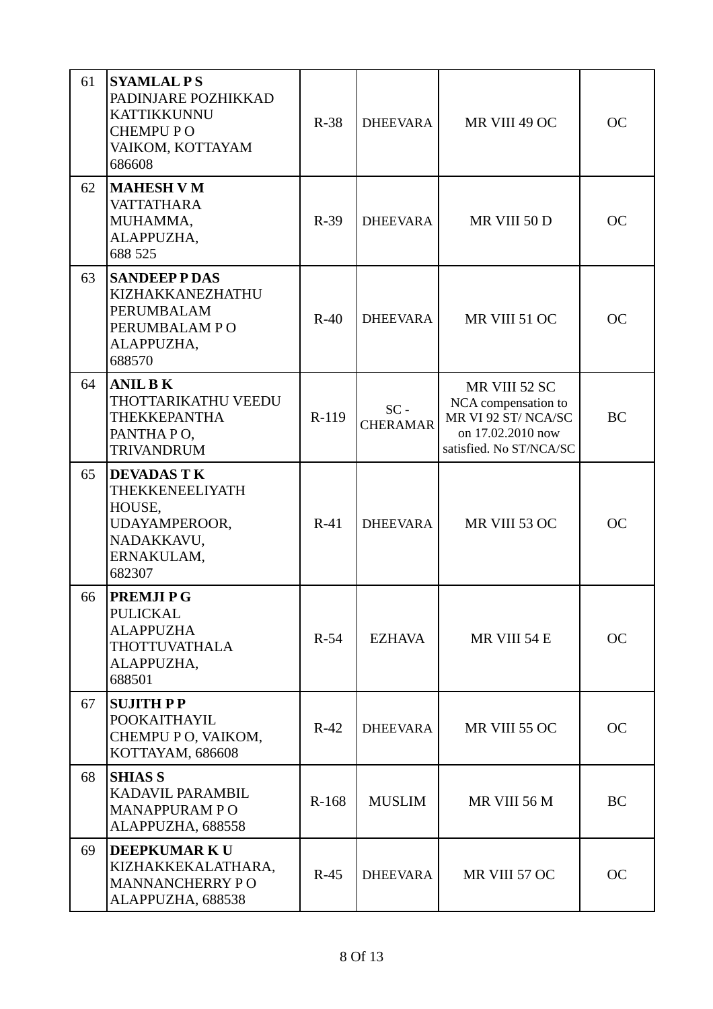| 61 | <b>SYAMLAL PS</b><br>PADINJARE POZHIKKAD<br><b>KATTIKKUNNU</b><br><b>CHEMPUPO</b><br>VAIKOM, KOTTAYAM<br>686608 | $R-38$ | <b>DHEEVARA</b>           | MR VIII 49 OC                                                                                              | <b>OC</b> |
|----|-----------------------------------------------------------------------------------------------------------------|--------|---------------------------|------------------------------------------------------------------------------------------------------------|-----------|
| 62 | <b>MAHESH V M</b><br><b>VATTATHARA</b><br>MUHAMMA,<br>ALAPPUZHA,<br>688 525                                     | $R-39$ | <b>DHEEVARA</b>           | MR VIII 50 D                                                                                               | <b>OC</b> |
| 63 | <b>SANDEEPPDAS</b><br>KIZHAKKANEZHATHU<br>PERUMBALAM<br>PERUMBALAM PO<br>ALAPPUZHA,<br>688570                   | $R-40$ | <b>DHEEVARA</b>           | MR VIII 51 OC                                                                                              | <b>OC</b> |
| 64 | <b>ANIL BK</b><br>THOTTARIKATHU VEEDU<br><b>THEKKEPANTHA</b><br>PANTHAPO,<br><b>TRIVANDRUM</b>                  | R-119  | $SC -$<br><b>CHERAMAR</b> | MR VIII 52 SC<br>NCA compensation to<br>MR VI 92 ST/NCA/SC<br>on 17.02.2010 now<br>satisfied. No ST/NCA/SC | <b>BC</b> |
| 65 | <b>DEVADAS TK</b><br>THEKKENEELIYATH<br>HOUSE,<br>UDAYAMPEROOR,<br>NADAKKAVU,<br>ERNAKULAM,<br>682307           | $R-41$ | <b>DHEEVARA</b>           | MR VIII 53 OC                                                                                              | <b>OC</b> |
| 66 | <b>PREMJIPG</b><br><b>PULICKAL</b><br><b>ALAPPUZHA</b><br><b>THOTTUVATHALA</b><br>ALAPPUZHA,<br>688501          | $R-54$ | <b>EZHAVA</b>             | MR VIII 54 E                                                                                               | <b>OC</b> |
| 67 | <b>SUJITH PP</b><br><b>POOKAITHAYIL</b><br>CHEMPU P O, VAIKOM,<br>KOTTAYAM, 686608                              | $R-42$ | <b>DHEEVARA</b>           | MR VIII 55 OC                                                                                              | <b>OC</b> |
| 68 | <b>SHIAS S</b><br>KADAVIL PARAMBIL<br><b>MANAPPURAM PO</b><br>ALAPPUZHA, 688558                                 | R-168  | <b>MUSLIM</b>             | MR VIII 56 M                                                                                               | BC        |
| 69 | <b>DEEPKUMARKU</b><br>KIZHAKKEKALATHARA,<br><b>MANNANCHERRY PO</b><br>ALAPPUZHA, 688538                         | $R-45$ | <b>DHEEVARA</b>           | MR VIII 57 OC                                                                                              | <b>OC</b> |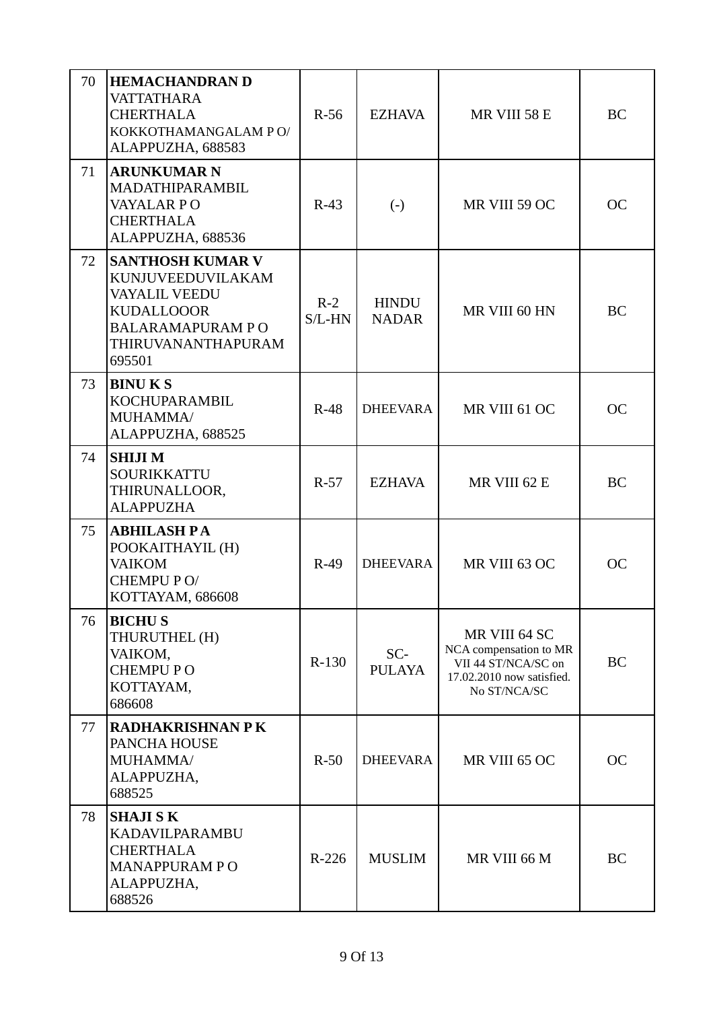| 70 | <b>HEMACHANDRAN D</b><br><b>VATTATHARA</b><br><b>CHERTHALA</b><br>KOKKOTHAMANGALAM PO/<br>ALAPPUZHA, 688583                                          | $R-56$            | <b>EZHAVA</b>                | MR VIII 58 E                                                                                                | <b>BC</b> |
|----|------------------------------------------------------------------------------------------------------------------------------------------------------|-------------------|------------------------------|-------------------------------------------------------------------------------------------------------------|-----------|
| 71 | <b>ARUNKUMAR N</b><br>MADATHIPARAMBIL<br>VAYALAR PO<br><b>CHERTHALA</b><br>ALAPPUZHA, 688536                                                         | $R-43$            | $\left( \cdot \right)$       | MR VIII 59 OC                                                                                               | <b>OC</b> |
| 72 | <b>SANTHOSH KUMAR V</b><br>KUNJUVEEDUVILAKAM<br><b>VAYALIL VEEDU</b><br><b>KUDALLOOOR</b><br><b>BALARAMAPURAM PO</b><br>THIRUVANANTHAPURAM<br>695501 | $R-2$<br>$S/L-HN$ | <b>HINDU</b><br><b>NADAR</b> | MR VIII 60 HN                                                                                               | <b>BC</b> |
| 73 | <b>BINUKS</b><br><b>KOCHUPARAMBIL</b><br>MUHAMMA/<br>ALAPPUZHA, 688525                                                                               | $R-48$            | <b>DHEEVARA</b>              | MR VIII 61 OC                                                                                               | <b>OC</b> |
| 74 | <b>SHIJIM</b><br>SOURIKKATTU<br>THIRUNALLOOR,<br><b>ALAPPUZHA</b>                                                                                    | $R-57$            | <b>EZHAVA</b>                | MR VIII 62 E                                                                                                | <b>BC</b> |
| 75 | <b>ABHILASH PA</b><br>POOKAITHAYIL (H)<br><b>VAIKOM</b><br>CHEMPU PO/<br>KOTTAYAM, 686608                                                            | $R-49$            | <b>DHEEVARA</b>              | MR VIII 63 OC                                                                                               | <b>OC</b> |
| 76 | <b>BICHUS</b><br>THURUTHEL (H)<br>VAIKOM,<br><b>CHEMPU PO</b><br>KOTTAYAM,<br>686608                                                                 | $R-130$           | SC-<br><b>PULAYA</b>         | MR VIII 64 SC<br>NCA compensation to MR<br>VII 44 ST/NCA/SC on<br>17.02.2010 now satisfied.<br>No ST/NCA/SC | <b>BC</b> |
| 77 | <b>RADHAKRISHNAN PK</b><br>PANCHA HOUSE<br>MUHAMMA/<br>ALAPPUZHA,<br>688525                                                                          | $R-50$            | <b>DHEEVARA</b>              | MR VIII 65 OC                                                                                               | <b>OC</b> |
| 78 | <b>SHAJI SK</b><br>KADAVILPARAMBU<br><b>CHERTHALA</b><br><b>MANAPPURAM PO</b><br>ALAPPUZHA,<br>688526                                                | $R-226$           | <b>MUSLIM</b>                | MR VIII 66 M                                                                                                | <b>BC</b> |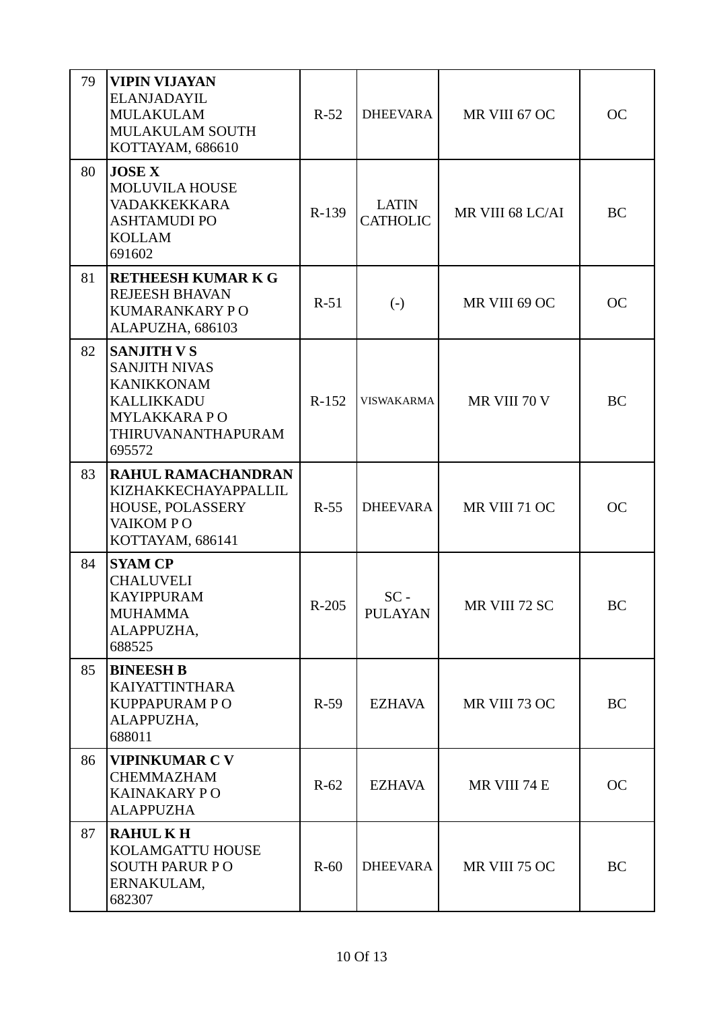| 79 | <b>VIPIN VIJAYAN</b><br>ELANJADAYIL<br><b>MULAKULAM</b><br><b>MULAKULAM SOUTH</b><br>KOTTAYAM, 686610                                      | $R-52$  | <b>DHEEVARA</b>                 | MR VIII 67 OC    | <b>OC</b> |
|----|--------------------------------------------------------------------------------------------------------------------------------------------|---------|---------------------------------|------------------|-----------|
| 80 | <b>JOSE X</b><br><b>MOLUVILA HOUSE</b><br><b>VADAKKEKKARA</b><br><b>ASHTAMUDI PO</b><br><b>KOLLAM</b><br>691602                            | R-139   | <b>LATIN</b><br><b>CATHOLIC</b> | MR VIII 68 LC/AI | BC        |
| 81 | <b>RETHEESH KUMAR K G</b><br><b>REJEESH BHAVAN</b><br>KUMARANKARY PO<br>ALAPUZHA, 686103                                                   | $R-51$  | $\left( -\right)$               | MR VIII 69 OC    | <b>OC</b> |
| 82 | <b>SANJITH V S</b><br><b>SANJITH NIVAS</b><br><b>KANIKKONAM</b><br><b>KALLIKKADU</b><br><b>MYLAKKARAPO</b><br>THIRUVANANTHAPURAM<br>695572 | $R-152$ | <b>VISWAKARMA</b>               | MR VIII 70 V     | <b>BC</b> |
| 83 | <b>RAHUL RAMACHANDRAN</b><br>KIZHAKKECHAYAPPALLIL<br>HOUSE, POLASSERY<br>VAIKOM PO<br>KOTTAYAM, 686141                                     | $R-55$  | <b>DHEEVARA</b>                 | MR VIII 71 OC    | <b>OC</b> |
| 84 | <b>SYAM CP</b><br><b>CHALUVELI</b><br><b>KAYIPPURAM</b><br><b>MUHAMMA</b><br>ALAPPUZHA,<br>688525                                          | R-205   | $SC -$<br><b>PULAYAN</b>        | MR VIII 72 SC    | BC        |
| 85 | <b>BINEESH B</b><br><b>KAIYATTINTHARA</b><br><b>KUPPAPURAM PO</b><br>ALAPPUZHA,<br>688011                                                  | $R-59$  | <b>EZHAVA</b>                   | MR VIII 73 OC    | BC        |
| 86 | <b>VIPINKUMAR C V</b><br><b>CHEMMAZHAM</b><br><b>KAINAKARY PO</b><br><b>ALAPPUZHA</b>                                                      | $R-62$  | <b>EZHAVA</b>                   | MR VIII 74 E     | <b>OC</b> |
| 87 | <b>RAHULKH</b><br>KOLAMGATTU HOUSE<br><b>SOUTH PARUR PO</b><br>ERNAKULAM,<br>682307                                                        | $R-60$  | <b>DHEEVARA</b>                 | MR VIII 75 OC    | <b>BC</b> |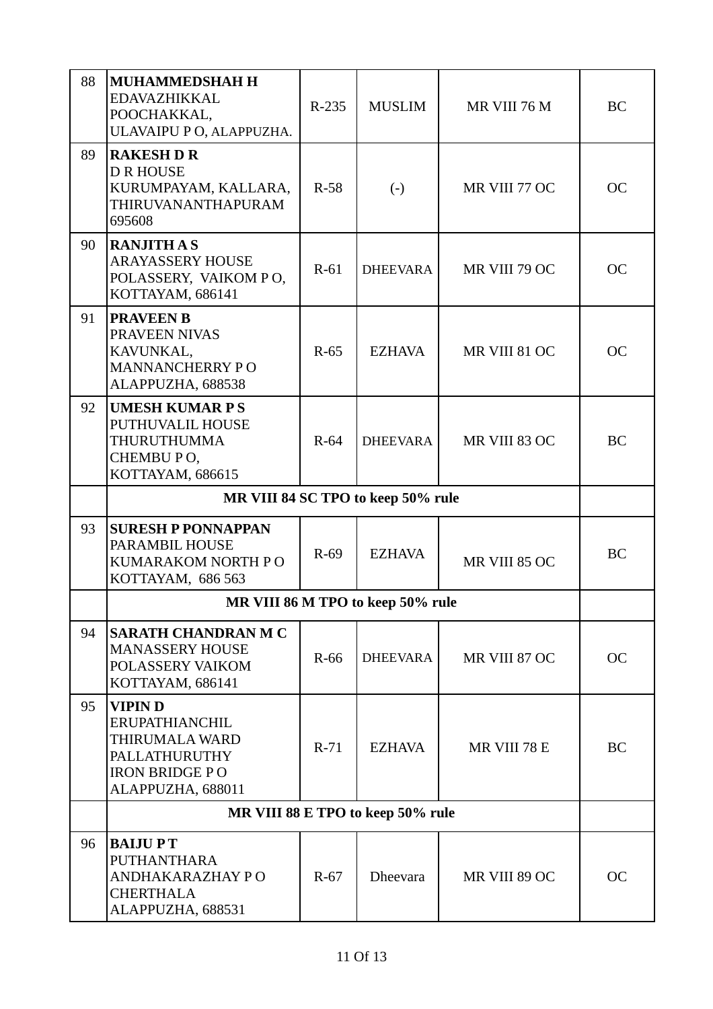| 88 | <b>MUHAMMEDSHAH H</b><br>EDAVAZHIKKAL<br>POOCHAKKAL,<br>ULAVAIPU PO, ALAPPUZHA.                                  | $R-235$ | <b>MUSLIM</b>                      | MR VIII 76 M  | BC        |
|----|------------------------------------------------------------------------------------------------------------------|---------|------------------------------------|---------------|-----------|
| 89 | <b>RAKESH D R</b><br><b>D R HOUSE</b><br>KURUMPAYAM, KALLARA,<br>THIRUVANANTHAPURAM<br>695608                    | $R-58$  | $\left( \cdot \right)$             | MR VIII 77 OC | <b>OC</b> |
| 90 | <b>RANJITH A S</b><br><b>ARAYASSERY HOUSE</b><br>POLASSERY, VAIKOM PO,<br>KOTTAYAM, 686141                       | $R-61$  | <b>DHEEVARA</b>                    | MR VIII 79 OC | <b>OC</b> |
| 91 | <b>PRAVEEN B</b><br>PRAVEEN NIVAS<br>KAVUNKAL,<br><b>MANNANCHERRY PO</b><br>ALAPPUZHA, 688538                    | $R-65$  | <b>EZHAVA</b>                      | MR VIII 81 OC | <b>OC</b> |
| 92 | <b>UMESH KUMAR PS</b><br>PUTHUVALIL HOUSE<br><b>THURUTHUMMA</b><br>CHEMBU PO,<br>KOTTAYAM, 686615                | $R-64$  | <b>DHEEVARA</b>                    | MR VIII 83 OC | <b>BC</b> |
|    |                                                                                                                  |         | MR VIII 84 SC TPO to keep 50% rule |               |           |
| 93 | <b>SURESH P PONNAPPAN</b><br>PARAMBIL HOUSE<br>KUMARAKOM NORTH PO<br>KOTTAYAM, 686 563                           | $R-69$  | <b>EZHAVA</b>                      | MR VIII 85 OC | <b>BC</b> |
|    |                                                                                                                  |         | MR VIII 86 M TPO to keep 50% rule  |               |           |
| 94 | <b>SARATH CHANDRAN M C</b><br><b>MANASSERY HOUSE</b><br>POLASSERY VAIKOM<br>KOTTAYAM, 686141                     | $R-66$  | <b>DHEEVARA</b>                    | MR VIII 87 OC | <b>OC</b> |
| 95 | <b>VIPIND</b><br>ERUPATHIANCHIL<br>THIRUMALA WARD<br>PALLATHURUTHY<br><b>IRON BRIDGE PO</b><br>ALAPPUZHA, 688011 | $R-71$  | EZHAVA                             | MR VIII 78 E  | BC        |
|    |                                                                                                                  |         | MR VIII 88 E TPO to keep 50% rule  |               |           |
| 96 | <b>BAIJUPT</b><br><b>PUTHANTHARA</b><br>ANDHAKARAZHAY PO<br><b>CHERTHALA</b><br>ALAPPUZHA, 688531                | $R-67$  | <b>Dheevara</b>                    | MR VIII 89 OC | <b>OC</b> |